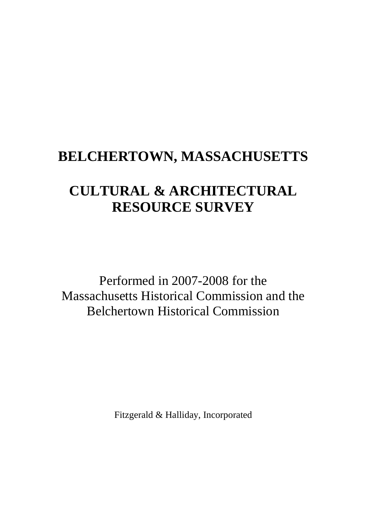# **BELCHERTOWN, MASSACHUSETTS**

# **CULTURAL & ARCHITECTURAL RESOURCE SURVEY**

Performed in 2007-2008 for the Massachusetts Historical Commission and the Belchertown Historical Commission

Fitzgerald & Halliday, Incorporated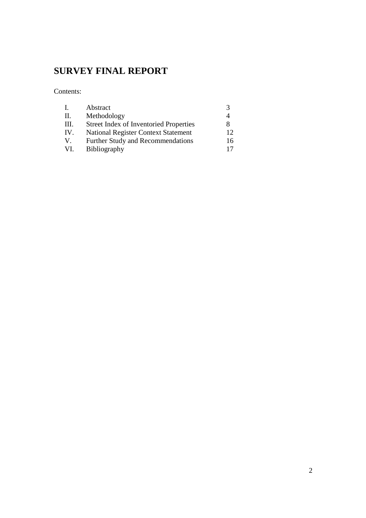# **SURVEY FINAL REPORT**

Contents:

| $\mathbf{L}$ | Abstract                                      |          |
|--------------|-----------------------------------------------|----------|
| H.           | Methodology                                   |          |
| III.         | <b>Street Index of Inventoried Properties</b> | 8        |
| IV.          | <b>National Register Context Statement</b>    | $12^{-}$ |
| V.           | Further Study and Recommendations             | 16       |
| VI.          | <b>Bibliography</b>                           |          |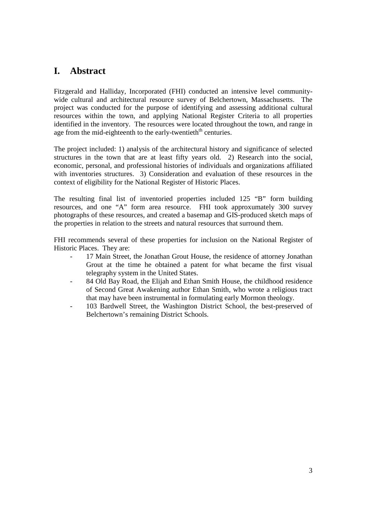# **I. Abstract**

Fitzgerald and Halliday, Incorporated (FHI) conducted an intensive level communitywide cultural and architectural resource survey of Belchertown, Massachusetts. The project was conducted for the purpose of identifying and assessing additional cultural resources within the town, and applying National Register Criteria to all properties identified in the inventory. The resources were located throughout the town, and range in age from the mid-eighteenth to the early-twentieth<sup>th</sup> centuries.

The project included: 1) analysis of the architectural history and significance of selected structures in the town that are at least fifty years old. 2) Research into the social, economic, personal, and professional histories of individuals and organizations affiliated with inventories structures. 3) Consideration and evaluation of these resources in the context of eligibility for the National Register of Historic Places.

The resulting final list of inventoried properties included 125 "B" form building resources, and one "A" form area resource. FHI took approxumately 300 survey photographs of these resources, and created a basemap and GIS-produced sketch maps of the properties in relation to the streets and natural resources that surround them.

FHI recommends several of these properties for inclusion on the National Register of Historic Places. They are:

- 17 Main Street, the Jonathan Grout House, the residence of attorney Jonathan Grout at the time he obtained a patent for what became the first visual telegraphy system in the United States.
- 84 Old Bay Road, the Elijah and Ethan Smith House, the childhood residence of Second Great Awakening author Ethan Smith, who wrote a religious tract that may have been instrumental in formulating early Mormon theology.
- 103 Bardwell Street, the Washington District School, the best-preserved of Belchertown's remaining District Schools.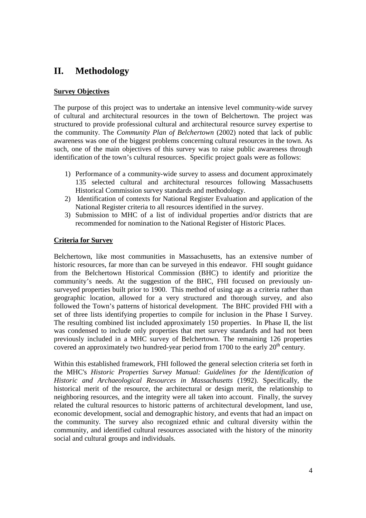# **II. Methodology**

### **Survey Objectives**

The purpose of this project was to undertake an intensive level community-wide survey of cultural and architectural resources in the town of Belchertown. The project was structured to provide professional cultural and architectural resource survey expertise to the community. The *Community Plan of Belchertown* (2002) noted that lack of public awareness was one of the biggest problems concerning cultural resources in the town. As such, one of the main objectives of this survey was to raise public awareness through identification of the town's cultural resources. Specific project goals were as follows:

- 1) Performance of a community-wide survey to assess and document approximately 135 selected cultural and architectural resources following Massachusetts Historical Commission survey standards and methodology.
- 2) Identification of contexts for National Register Evaluation and application of the National Register criteria to all resources identified in the survey.
- 3) Submission to MHC of a list of individual properties and/or districts that are recommended for nomination to the National Register of Historic Places.

### **Criteria for Survey**

Belchertown, like most communities in Massachusetts, has an extensive number of historic resources, far more than can be surveyed in this endeavor. FHI sought guidance from the Belchertown Historical Commission (BHC) to identify and prioritize the community's needs. At the suggestion of the BHC, FHI focused on previously unsurveyed properties built prior to 1900. This method of using age as a criteria rather than geographic location, allowed for a very structured and thorough survey, and also followed the Town's patterns of historical development. The BHC provided FHI with a set of three lists identifying properties to compile for inclusion in the Phase I Survey. The resulting combined list included approximately 150 properties. In Phase II, the list was condensed to include only properties that met survey standards and had not been previously included in a MHC survey of Belchertown. The remaining 126 properties covered an approximately two hundred-year period from 1700 to the early  $20<sup>th</sup>$  century.

Within this established framework, FHI followed the general selection criteria set forth in the MHC's *Historic Properties Survey Manual: Guidelines for the Identification of Historic and Archaeological Resources in Massachusetts* (1992). Specifically, the historical merit of the resource, the architectural or design merit, the relationship to neighboring resources, and the integrity were all taken into account. Finally, the survey related the cultural resources to historic patterns of architectural development, land use, economic development, social and demographic history, and events that had an impact on the community. The survey also recognized ethnic and cultural diversity within the community, and identified cultural resources associated with the history of the minority social and cultural groups and individuals.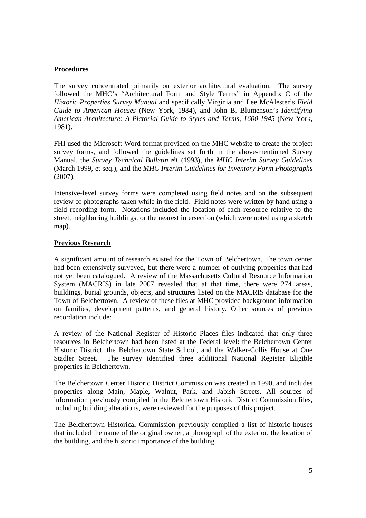### **Procedures**

The survey concentrated primarily on exterior architectural evaluation. The survey followed the MHC's "Architectural Form and Style Terms" in Appendix C of the *Historic Properties Survey Manual* and specifically Virginia and Lee McAlester's *Field Guide to American Houses* (New York, 1984), and John B. Blumenson's *Identifying American Architecture: A Pictorial Guide to Styles and Terms, 1600-1945* (New York, 1981).

FHI used the Microsoft Word format provided on the MHC website to create the project survey forms, and followed the guidelines set forth in the above-mentioned Survey Manual, the *Survey Technical Bulletin #1* (1993), the *MHC Interim Survey Guidelines*  (March 1999, et seq.), and the *MHC Interim Guidelines for Inventory Form Photographs*  (2007).

Intensive-level survey forms were completed using field notes and on the subsequent review of photographs taken while in the field. Field notes were written by hand using a field recording form. Notations included the location of each resource relative to the street, neighboring buildings, or the nearest intersection (which were noted using a sketch map).

### **Previous Research**

A significant amount of research existed for the Town of Belchertown. The town center had been extensively surveyed, but there were a number of outlying properties that had not yet been catalogued. A review of the Massachusetts Cultural Resource Information System (MACRIS) in late 2007 revealed that at that time, there were 274 areas, buildings, burial grounds, objects, and structures listed on the MACRIS database for the Town of Belchertown. A review of these files at MHC provided background information on families, development patterns, and general history. Other sources of previous recordation include:

A review of the National Register of Historic Places files indicated that only three resources in Belchertown had been listed at the Federal level: the Belchertown Center Historic District, the Belchertown State School, and the Walker-Collis House at One Stadler Street. The survey identified three additional National Register Eligible properties in Belchertown.

The Belchertown Center Historic District Commission was created in 1990, and includes properties along Main, Maple, Walnut, Park, and Jabish Streets. All sources of information previously compiled in the Belchertown Historic District Commission files, including building alterations, were reviewed for the purposes of this project.

The Belchertown Historical Commission previously compiled a list of historic houses that included the name of the original owner, a photograph of the exterior, the location of the building, and the historic importance of the building.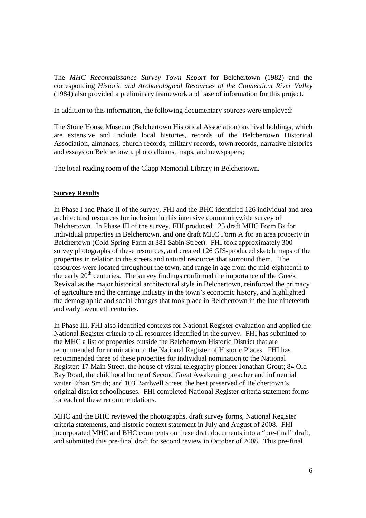The *MHC Reconnaissance Survey Town Report* for Belchertown (1982) and the corresponding *Historic and Archaeological Resources of the Connecticut River Valley*  (1984) also provided a preliminary framework and base of information for this project.

In addition to this information, the following documentary sources were employed:

The Stone House Museum (Belchertown Historical Association) archival holdings, which are extensive and include local histories, records of the Belchertown Historical Association, almanacs, church records, military records, town records, narrative histories and essays on Belchertown, photo albums, maps, and newspapers;

The local reading room of the Clapp Memorial Library in Belchertown.

### **Survey Results**

In Phase I and Phase II of the survey, FHI and the BHC identified 126 individual and area architectural resources for inclusion in this intensive communitywide survey of Belchertown. In Phase III of the survey, FHI produced 125 draft MHC Form Bs for individual properties in Belchertown, and one draft MHC Form A for an area property in Belchertown (Cold Spring Farm at 381 Sabin Street). FHI took approximately 300 survey photographs of these resources, and created 126 GIS-produced sketch maps of the properties in relation to the streets and natural resources that surround them. The resources were located throughout the town, and range in age from the mid-eighteenth to the early  $20<sup>th</sup>$  centuries. The survey findings confirmed the importance of the Greek Revival as the major historical architectural style in Belchertown, reinforced the primacy of agriculture and the carriage industry in the town's economic history, and highlighted the demographic and social changes that took place in Belchertown in the late nineteenth and early twentieth centuries.

In Phase III, FHI also identified contexts for National Register evaluation and applied the National Register criteria to all resources identified in the survey. FHI has submitted to the MHC a list of properties outside the Belchertown Historic District that are recommended for nomination to the National Register of Historic Places. FHI has recommended three of these properties for individual nomination to the National Register: 17 Main Street, the house of visual telegraphy pioneer Jonathan Grout; 84 Old Bay Road, the childhood home of Second Great Awakening preacher and influential writer Ethan Smith; and 103 Bardwell Street, the best preserved of Belchertown's original district schoolhouses. FHI completed National Register criteria statement forms for each of these recommendations.

MHC and the BHC reviewed the photographs, draft survey forms, National Register criteria statements, and historic context statement in July and August of 2008. FHI incorporated MHC and BHC comments on these draft documents into a "pre-final" draft, and submitted this pre-final draft for second review in October of 2008. This pre-final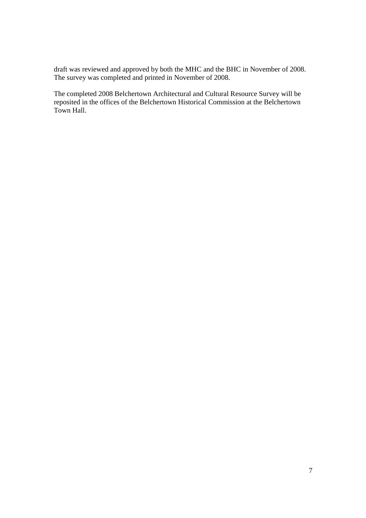draft was reviewed and approved by both the MHC and the BHC in November of 2008. The survey was completed and printed in November of 2008.

The completed 2008 Belchertown Architectural and Cultural Resource Survey will be reposited in the offices of the Belchertown Historical Commission at the Belchertown Town Hall.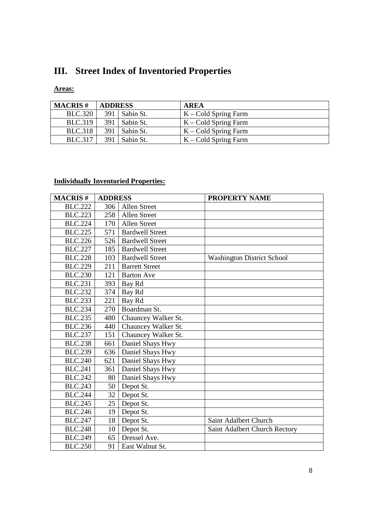# **III. Street Index of Inventoried Properties**

## **Areas:**

| <b>MACRIS#</b> | <b>ADDRESS</b> |                 | <b>AREA</b>            |
|----------------|----------------|-----------------|------------------------|
| <b>BLC.320</b> |                | $391$ Sabin St. | $K - Cold$ Spring Farm |
| <b>BLC.319</b> |                | $391$ Sabin St. | $K - Cold$ Spring Farm |
| <b>BLC.318</b> | 391 l          | Sabin St.       | $K - Cold$ Spring Farm |
| <b>BLC.317</b> | 391 I          | Sabin St.       | $K - Cold$ Spring Farm |

# **Individually Inventoried Properties:**

| <b>MACRIS#</b> | <b>ADDRESS</b>  |                        | PROPERTY NAME                     |
|----------------|-----------------|------------------------|-----------------------------------|
| <b>BLC.222</b> | 306             | <b>Allen Street</b>    |                                   |
| <b>BLC.223</b> | 258             | Allen Street           |                                   |
| <b>BLC.224</b> | 170             | <b>Allen Street</b>    |                                   |
| <b>BLC.225</b> | 571             | <b>Bardwell Street</b> |                                   |
| <b>BLC.226</b> | 526             | <b>Bardwell Street</b> |                                   |
| <b>BLC.227</b> | 185             | <b>Bardwell Street</b> |                                   |
| <b>BLC.228</b> | 103             | <b>Bardwell Street</b> | <b>Washington District School</b> |
| <b>BLC.229</b> | 211             | <b>Barrett Street</b>  |                                   |
| <b>BLC.230</b> | 121             | <b>Barton Ave</b>      |                                   |
| <b>BLC.231</b> | 393             | Bay Rd                 |                                   |
| <b>BLC.232</b> | 374             | Bay Rd                 |                                   |
| <b>BLC.233</b> | 221             | Bay Rd                 |                                   |
| <b>BLC.234</b> | 270             | Boardman St.           |                                   |
| <b>BLC.235</b> | 480             | Chauncey Walker St.    |                                   |
| <b>BLC.236</b> | 440             | Chauncey Walker St.    |                                   |
| <b>BLC.237</b> | 151             | Chauncey Walker St.    |                                   |
| <b>BLC.238</b> | 661             | Daniel Shays Hwy       |                                   |
| <b>BLC.239</b> | 636             | Daniel Shays Hwy       |                                   |
| <b>BLC.240</b> | 621             | Daniel Shays Hwy       |                                   |
| <b>BLC.241</b> | 361             | Daniel Shays Hwy       |                                   |
| <b>BLC.242</b> | 80              | Daniel Shays Hwy       |                                   |
| <b>BLC.243</b> | 50              | Depot St.              |                                   |
| <b>BLC.244</b> | 32              | Depot St.              |                                   |
| <b>BLC.245</b> | 25 <sup>1</sup> | Depot St.              |                                   |
| <b>BLC.246</b> | 19              | Depot St.              |                                   |
| <b>BLC.247</b> | 18              | Depot St.              | Saint Adalbert Church             |
| <b>BLC.248</b> | 10              | Depot St.              | Saint Adalbert Church Rectory     |
| <b>BLC.249</b> | 65              | Dressel Ave.           |                                   |
| <b>BLC.250</b> | 91              | East Walnut St.        |                                   |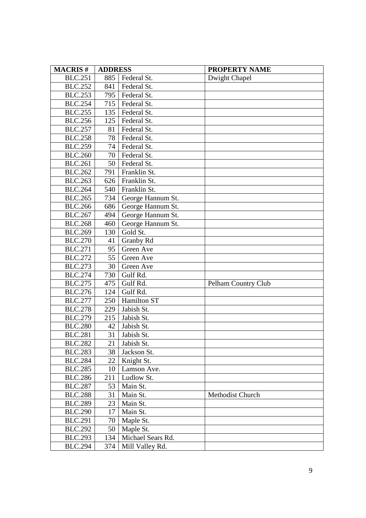| <b>MACRIS#</b> | <b>ADDRESS</b> |                   | <b>PROPERTY NAME</b> |  |
|----------------|----------------|-------------------|----------------------|--|
| <b>BLC.251</b> | 885            | Federal St.       | Dwight Chapel        |  |
| <b>BLC.252</b> | 841            | Federal St.       |                      |  |
| <b>BLC.253</b> | 795            | Federal St.       |                      |  |
| <b>BLC.254</b> | 715            | Federal St.       |                      |  |
| <b>BLC.255</b> | 135            | Federal St.       |                      |  |
| <b>BLC.256</b> | 125            | Federal St.       |                      |  |
| <b>BLC.257</b> | 81             | Federal St.       |                      |  |
| <b>BLC.258</b> | 78             | Federal St.       |                      |  |
| <b>BLC.259</b> | 74             | Federal St.       |                      |  |
| <b>BLC.260</b> | 70             | Federal St.       |                      |  |
| <b>BLC.261</b> | 50             | Federal St.       |                      |  |
| <b>BLC.262</b> | 791            | Franklin St.      |                      |  |
| <b>BLC.263</b> | 626            | Franklin St.      |                      |  |
| <b>BLC.264</b> | 540            | Franklin St.      |                      |  |
| <b>BLC.265</b> | 734            | George Hannum St. |                      |  |
| <b>BLC.266</b> | 686            | George Hannum St. |                      |  |
| <b>BLC.267</b> | 494            | George Hannum St. |                      |  |
| <b>BLC.268</b> | 460            | George Hannum St. |                      |  |
| <b>BLC.269</b> | 130            | Gold St.          |                      |  |
| <b>BLC.270</b> | 41             | Granby Rd         |                      |  |
| <b>BLC.271</b> | 95             | Green Ave         |                      |  |
| <b>BLC.272</b> | 55             | Green Ave         |                      |  |
| <b>BLC.273</b> | 30             | Green Ave         |                      |  |
| <b>BLC.274</b> | 730            | Gulf Rd.          |                      |  |
| <b>BLC.275</b> | 475            | Gulf Rd.          | Pelham Country Club  |  |
| <b>BLC.276</b> | 124            | Gulf Rd.          |                      |  |
| <b>BLC.277</b> | 250            | Hamilton ST       |                      |  |
| <b>BLC.278</b> | 229            | Jabish St.        |                      |  |
| <b>BLC.279</b> | 215            | Jabish St.        |                      |  |
| <b>BLC.280</b> | 42             | Jabish St.        |                      |  |
| <b>BLC.281</b> | 31             | Jabish St.        |                      |  |
| <b>BLC.282</b> | 21             | Jabish St.        |                      |  |
| <b>BLC.283</b> | 38             | Jackson St.       |                      |  |
| <b>BLC.284</b> | 22             | Knight St.        |                      |  |
| <b>BLC.285</b> | 10             | Lamson Ave.       |                      |  |
| <b>BLC.286</b> | 211            | Ludlow St.        |                      |  |
| <b>BLC.287</b> | 53             | Main St.          |                      |  |
| <b>BLC.288</b> | 31             | Main St.          | Methodist Church     |  |
| <b>BLC.289</b> | 23             | Main St.          |                      |  |
| <b>BLC.290</b> | 17             | Main St.          |                      |  |
| <b>BLC.291</b> | 70             | Maple St.         |                      |  |
| <b>BLC.292</b> | 50             | Maple St.         |                      |  |
| <b>BLC.293</b> | 134            | Michael Sears Rd. |                      |  |
| <b>BLC.294</b> | 374            | Mill Valley Rd.   |                      |  |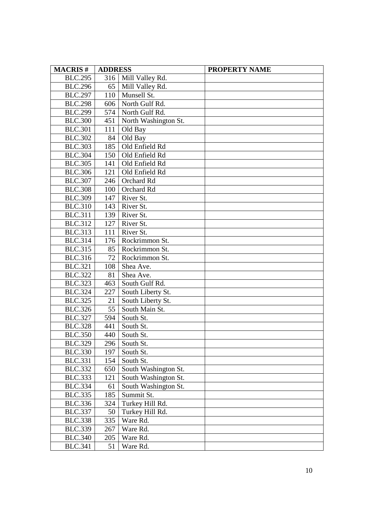| <b>MACRIS#</b> | <b>ADDRESS</b> |                      | <b>PROPERTY NAME</b> |
|----------------|----------------|----------------------|----------------------|
| <b>BLC.295</b> | 316            | Mill Valley Rd.      |                      |
| <b>BLC.296</b> | 65             | Mill Valley Rd.      |                      |
| <b>BLC.297</b> | 110            | Munsell St.          |                      |
| <b>BLC.298</b> | 606            | North Gulf Rd.       |                      |
| <b>BLC.299</b> | 574            | North Gulf Rd.       |                      |
| <b>BLC.300</b> | 451            | North Washington St. |                      |
| <b>BLC.301</b> | 111            | Old Bay              |                      |
| <b>BLC.302</b> | 84             | Old Bay              |                      |
| <b>BLC.303</b> | 185            | Old Enfield Rd       |                      |
| <b>BLC.304</b> | 150            | Old Enfield Rd       |                      |
| <b>BLC.305</b> | 141            | Old Enfield Rd       |                      |
| <b>BLC.306</b> | 121            | Old Enfield Rd       |                      |
| <b>BLC.307</b> | 246            | Orchard Rd           |                      |
| <b>BLC.308</b> | 100            | Orchard Rd           |                      |
| <b>BLC.309</b> | 147            | River St.            |                      |
| <b>BLC.310</b> | 143            | River St.            |                      |
| <b>BLC.311</b> | 139            | River St.            |                      |
| <b>BLC.312</b> | 127            | River St.            |                      |
| <b>BLC.313</b> | 111            | River St.            |                      |
| <b>BLC.314</b> | 176            | Rockrimmon St.       |                      |
| <b>BLC.315</b> | 85             | Rockrimmon St.       |                      |
| <b>BLC.316</b> | 72             | Rockrimmon St.       |                      |
| <b>BLC.321</b> | 108            | Shea Ave.            |                      |
| <b>BLC.322</b> | 81             | Shea Ave.            |                      |
| <b>BLC.323</b> | 463            | South Gulf Rd.       |                      |
| <b>BLC.324</b> | 227            | South Liberty St.    |                      |
| <b>BLC.325</b> | 21             | South Liberty St.    |                      |
| <b>BLC.326</b> | 55             | South Main St.       |                      |
| <b>BLC.327</b> | 594            | South St.            |                      |
| <b>BLC.328</b> | 441            | South St.            |                      |
| <b>BLC.350</b> | 440            | South St.            |                      |
| <b>BLC.329</b> | 296            | South St.            |                      |
| <b>BLC.330</b> | 197            | South St.            |                      |
| <b>BLC.331</b> | 154            | South St.            |                      |
| <b>BLC.332</b> | 650            | South Washington St. |                      |
| <b>BLC.333</b> | 121            | South Washington St. |                      |
| <b>BLC.334</b> | 61             | South Washington St. |                      |
| <b>BLC.335</b> | 185            | Summit St.           |                      |
| <b>BLC.336</b> | 324            | Turkey Hill Rd.      |                      |
| <b>BLC.337</b> | 50             | Turkey Hill Rd.      |                      |
| <b>BLC.338</b> | 335            | Ware Rd.             |                      |
| <b>BLC.339</b> | 267            | Ware Rd.             |                      |
| <b>BLC.340</b> | 205            | Ware Rd.             |                      |
| <b>BLC.341</b> | 51             | Ware Rd.             |                      |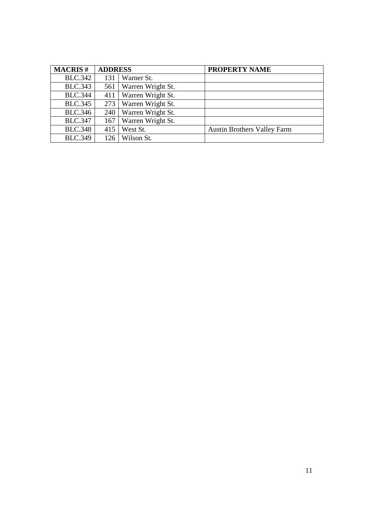| <b>MACRIS#</b> | <b>ADDRESS</b> |                   | PROPERTY NAME                      |
|----------------|----------------|-------------------|------------------------------------|
| <b>BLC.342</b> | 131            | Warner St.        |                                    |
| <b>BLC.343</b> | 561            | Warren Wright St. |                                    |
| <b>BLC.344</b> | 411            | Warren Wright St. |                                    |
| <b>BLC.345</b> | 273            | Warren Wright St. |                                    |
| <b>BLC.346</b> | 240            | Warren Wright St. |                                    |
| <b>BLC.347</b> | 167            | Warren Wright St. |                                    |
| <b>BLC.348</b> | 415            | West St.          | <b>Austin Brothers Valley Farm</b> |
| <b>BLC.349</b> | 126            | Wilson St.        |                                    |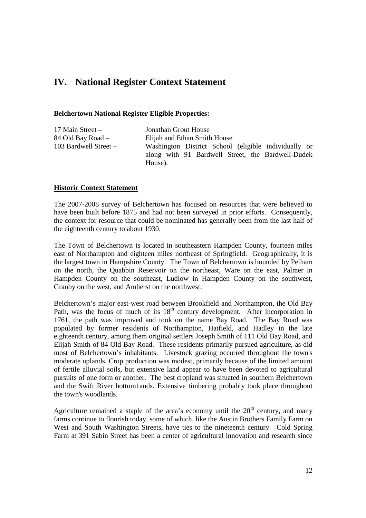# **IV. National Register Context Statement**

### **Belchertown National Register Eligible Properties:**

| 17 Main Street –      | Jonathan Grout House                                 |
|-----------------------|------------------------------------------------------|
| 84 Old Bay Road –     | Elijah and Ethan Smith House                         |
| 103 Bardwell Street – | Washington District School (eligible individually or |
|                       | along with 91 Bardwell Street, the Bardwell-Dudek    |
|                       | House).                                              |

### **Historic Context Statement**

The 2007-2008 survey of Belchertown has focused on resources that were believed to have been built before 1875 and had not been surveyed in prior efforts. Consequently, the context for resource that could be nominated has generally been from the last half of the eighteenth century to about 1930.

The Town of Belchertown is located in southeastern Hampden County, fourteen miles east of Northampton and eighteen miles northeast of Springfield. Geographically, it is the largest town in Hampshire County. The Town of Belchertown is bounded by Pelham on the north, the Quabbin Reservoir on the northeast, Ware on the east, Palmer in Hampden County on the southeast, Ludlow in Hampden County on the southwest, Granby on the west, and Amherst on the northwest.

Belchertown's major east-west road between Brookfield and Northampton, the Old Bay Path, was the focus of much of its 18<sup>th</sup> century development. After incorporation in 1761, the path was improved and took on the name Bay Road. The Bay Road was populated by former residents of Northampton, Hatfield, and Hadley in the late eighteenth century, among them original settlers Joseph Smith of 111 Old Bay Road, and Elijah Smith of 84 Old Bay Road. These residents primarily pursued agriculture, as did most of Belchertown's inhabitants. Livestock grazing occurred throughout the town's moderate uplands. Crop production was modest, primarily because of the limited amount of fertile alluvial soils, but extensive land appear to have been devoted to agricultural pursuits of one form or another. The best cropland was situated in southern Belchertown and the Swift River bottom1ands. Extensive timbering probably took place throughout the town's woodlands.

Agriculture remained a staple of the area's economy until the  $20<sup>th</sup>$  century, and many farms continue to flourish today, some of which, like the Austin Brothers Family Farm on West and South Washington Streets, have ties to the nineteenth century. Cold Spring Farm at 391 Sabin Street has been a center of agricultural innovation and research since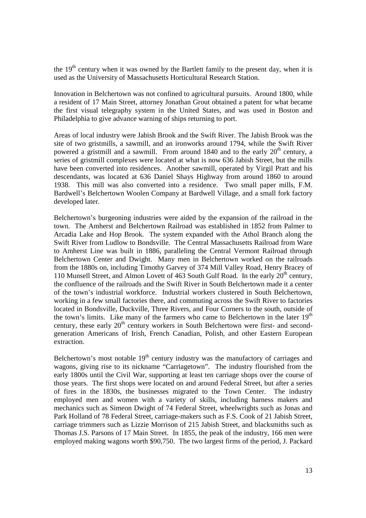the  $19<sup>th</sup>$  century when it was owned by the Bartlett family to the present day, when it is used as the University of Massachusetts Horticultural Research Station.

Innovation in Belchertown was not confined to agricultural pursuits. Around 1800, while a resident of 17 Main Street, attorney Jonathan Grout obtained a patent for what became the first visual telegraphy system in the United States, and was used in Boston and Philadelphia to give advance warning of ships returning to port.

Areas of local industry were Jabish Brook and the Swift River. The Jabish Brook was the site of two gristmills, a sawmill, and an ironworks around 1794, while the Swift River powered a gristmill and a sawmill. From around 1840 and to the early  $20<sup>th</sup>$  century, a series of gristmill complexes were located at what is now 636 Jabish Street, but the mills have been converted into residences. Another sawmill, operated by Virgil Pratt and his descendants, was located at 636 Daniel Shays Highway from around 1860 to around 1938. This mill was also converted into a residence. Two small paper mills, F.M. Bardwell's Belchertown Woolen Company at Bardwell Village, and a small fork factory developed later.

Belchertown's burgeoning industries were aided by the expansion of the railroad in the town. The Amherst and Belchertown Railroad was established in 1852 from Palmer to Arcadia Lake and Hop Brook. The system expanded with the Athol Branch along the Swift River from Ludlow to Bondsville. The Central Massachusetts Railroad from Ware to Amherst Line was built in 1886, paralleling the Central Vermont Railroad through Belchertown Center and Dwight. Many men in Belchertown worked on the railroads from the 1880s on, including Timothy Garvey of 374 Mill Valley Road, Henry Bracey of 110 Munsell Street, and Almon Lovett of 463 South Gulf Road. In the early  $20<sup>th</sup>$  century, the confluence of the railroads and the Swift River in South Belchertown made it a center of the town's industrial workforce. Industrial workers clustered in South Belchertown, working in a few small factories there, and commuting across the Swift River to factories located in Bondsville, Duckville, Three Rivers, and Four Corners to the south, outside of the town's limits. Like many of the farmers who came to Belchertown in the later  $19<sup>th</sup>$ century, these early  $20<sup>th</sup>$  century workers in South Belchertown were first- and secondgeneration Americans of Irish, French Canadian, Polish, and other Eastern European extraction.

Belchertown's most notable  $19<sup>th</sup>$  century industry was the manufactory of carriages and wagons, giving rise to its nickname "Carriagetown". The industry flourished from the early 1800s until the Civil War, supporting at least ten carriage shops over the course of those years. The first shops were located on and around Federal Street, but after a series of fires in the 1830s, the businesses migrated to the Town Center. The industry employed men and women with a variety of skills, including harness makers and mechanics such as Simeon Dwight of 74 Federal Street, wheelwrights such as Jonas and Park Holland of 78 Federal Street, carriage-makers such as F.S. Cook of 21 Jabish Street, carriage trimmers such as Lizzie Morrison of 215 Jabish Street, and blacksmiths such as Thomas J.S. Parsons of 17 Main Street. In 1855, the peak of the industry, 166 men were employed making wagons worth \$90,750. The two largest firms of the period, J. Packard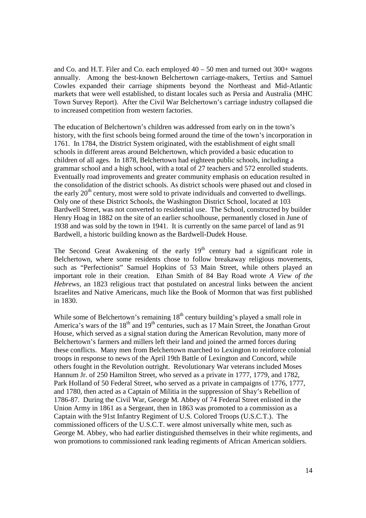and Co. and H.T. Filer and Co. each employed  $40 - 50$  men and turned out  $300+$  wagons annually. Among the best-known Belchertown carriage-makers, Tertius and Samuel Cowles expanded their carriage shipments beyond the Northeast and Mid-Atlantic markets that were well established, to distant locales such as Persia and Australia (MHC Town Survey Report). After the Civil War Belchertown's carriage industry collapsed die to increased competition from western factories.

The education of Belchertown's children was addressed from early on in the town's history, with the first schools being formed around the time of the town's incorporation in 1761. In 1784, the District System originated, with the establishment of eight small schools in different areas around Belchertown, which provided a basic education to children of all ages. In 1878, Belchertown had eighteen public schools, including a grammar school and a high school, with a total of 27 teachers and 572 enrolled students. Eventually road improvements and greater community emphasis on education resulted in the consolidation of the district schools. As district schools were phased out and closed in the early  $20<sup>th</sup>$  century, most were sold to private individuals and converted to dwellings. Only one of these District Schools, the Washington District School, located at 103 Bardwell Street, was not converted to residential use. The School, constructed by builder Henry Hoag in 1882 on the site of an earlier schoolhouse, permanently closed in June of 1938 and was sold by the town in 1941. It is currently on the same parcel of land as 91 Bardwell, a historic building known as the Bardwell-Dudek House.

The Second Great Awakening of the early  $19<sup>th</sup>$  century had a significant role in Belchertown, where some residents chose to follow breakaway religious movements, such as "Perfectionist" Samuel Hopkins of 53 Main Street, while others played an important role in their creation. Ethan Smith of 84 Bay Road wrote *A View of the Hebrews*, an 1823 religious tract that postulated on ancestral links between the ancient Israelites and Native Americans, much like the Book of Mormon that was first published in 1830.

While some of Belchertown's remaining  $18<sup>th</sup>$  century building's played a small role in America's wars of the  $18<sup>th</sup>$  and  $19<sup>th</sup>$  centuries, such as 17 Main Street, the Jonathan Grout House, which served as a signal station during the American Revolution, many more of Belchertown's farmers and millers left their land and joined the armed forces during these conflicts. Many men from Belchertown marched to Lexington to reinforce colonial troops in response to news of the April 19th Battle of Lexington and Concord, while others fought in the Revolution outright. Revolutionary War veterans included Moses Hannum Jr. of 250 Hamilton Street, who served as a private in 1777, 1779, and 1782, Park Holland of 50 Federal Street, who served as a private in campaigns of 1776, 1777, and 1780, then acted as a Captain of Militia in the suppression of Shay's Rebellion of 1786-87. During the Civil War, George M. Abbey of 74 Federal Street enlisted in the Union Army in 1861 as a Sergeant, then in 1863 was promoted to a commission as a Captain with the 91st Infantry Regiment of U.S. Colored Troops (U.S.C.T.). The commissioned officers of the U.S.C.T. were almost universally white men, such as George M. Abbey, who had earlier distinguished themselves in their white regiments, and won promotions to commissioned rank leading regiments of African American soldiers.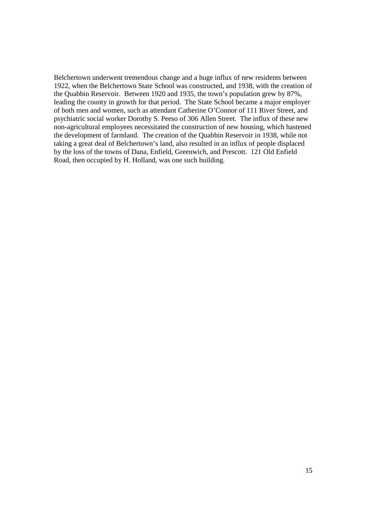Belchertown underwent tremendous change and a huge influx of new residents between 1922, when the Belchertown State School was constructed, and 1938, with the creation of the Quabbin Reservoir. Between 1920 and 1935, the town's population grew by 87%, leading the county in growth for that period. The State School became a major employer of both men and women, such as attendant Catherine O'Connor of 111 River Street, and psychiatric social worker Dorothy S. Peeso of 306 Allen Street. The influx of these new non-agricultural employees necessitated the construction of new housing, which hastened the development of farmland. The creation of the Quabbin Reservoir in 1938, while not taking a great deal of Belchertown's land, also resulted in an influx of people displaced by the loss of the towns of Dana, Enfield, Greenwich, and Prescott. 121 Old Enfield Road, then occupied by H. Holland, was one such building.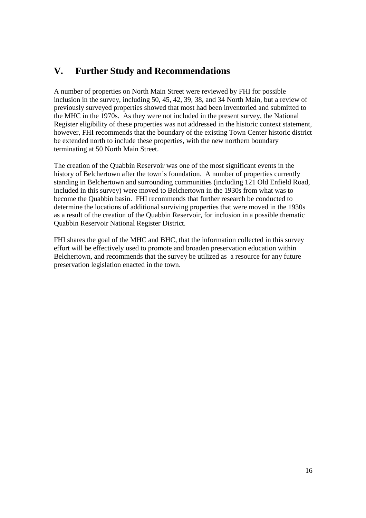# **V. Further Study and Recommendations**

A number of properties on North Main Street were reviewed by FHI for possible inclusion in the survey, including 50, 45, 42, 39, 38, and 34 North Main, but a review of previously surveyed properties showed that most had been inventoried and submitted to the MHC in the 1970s. As they were not included in the present survey, the National Register eligibility of these properties was not addressed in the historic context statement, however, FHI recommends that the boundary of the existing Town Center historic district be extended north to include these properties, with the new northern boundary terminating at 50 North Main Street.

The creation of the Quabbin Reservoir was one of the most significant events in the history of Belchertown after the town's foundation. A number of properties currently standing in Belchertown and surrounding communities (including 121 Old Enfield Road, included in this survey) were moved to Belchertown in the 1930s from what was to become the Quabbin basin. FHI recommends that further research be conducted to determine the locations of additional surviving properties that were moved in the 1930s as a result of the creation of the Quabbin Reservoir, for inclusion in a possible thematic Quabbin Reservoir National Register District.

FHI shares the goal of the MHC and BHC, that the information collected in this survey effort will be effectively used to promote and broaden preservation education within Belchertown, and recommends that the survey be utilized as a resource for any future preservation legislation enacted in the town.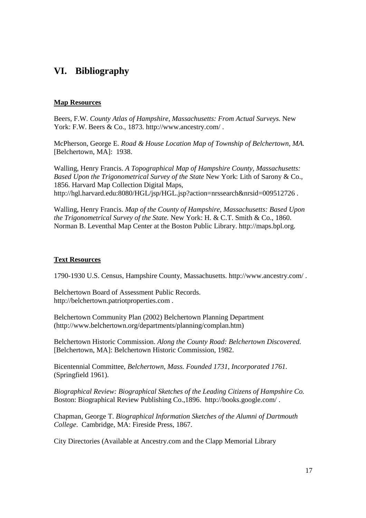# **VI. Bibliography**

### **Map Resources**

Beers, F.W. *County Atlas of Hampshire, Massachusetts: From Actual Surveys.* New York: F.W. Beers & Co., 1873. http://www.ancestry.com/.

McPherson, George E. *Road & House Location Map of Township of Belchertown, MA.* [Belchertown, MA]: 1938.

Walling, Henry Francis. *A Topographical Map of Hampshire County, Massachusetts: Based Upon the Trigonometrical Survey of the State* New York: Lith of Sarony & Co., 1856. Harvard Map Collection Digital Maps, http://hgl.harvard.edu:8080/HGL/jsp/HGL.jsp?action=nrssearch&nrsid=009512726 .

Walling, Henry Francis. *Map of the County of Hampshire, Massachusetts: Based Upon the Trigonometrical Survey of the State.* New York: H. & C.T. Smith & Co., 1860. Norman B. Leventhal Map Center at the Boston Public Library. http://maps.bpl.org.

#### **Text Resources**

1790-1930 U.S. Census, Hampshire County, Massachusetts. http://www.ancestry.com/ .

Belchertown Board of Assessment Public Records. http://belchertown.patriotproperties.com .

Belchertown Community Plan (2002) Belchertown Planning Department (http://www.belchertown.org/departments/planning/complan.htm)

Belchertown Historic Commission. *Along the County Road: Belchertown Discovered.*  [Belchertown, MA]: Belchertown Historic Commission, 1982.

Bicentennial Committee, *Belchertown, Mass. Founded 1731, Incorporated 1761.* (Springfield 1961).

*Biographical Review: Biographical Sketches of the Leading Citizens of Hampshire Co.*  Boston: Biographical Review Publishing Co.,1896. http://books.google.com/ .

Chapman, George T. *Biographical Information Sketches of the Alumni of Dartmouth College*. Cambridge, MA: Fireside Press, 1867.

City Directories (Available at Ancestry.com and the Clapp Memorial Library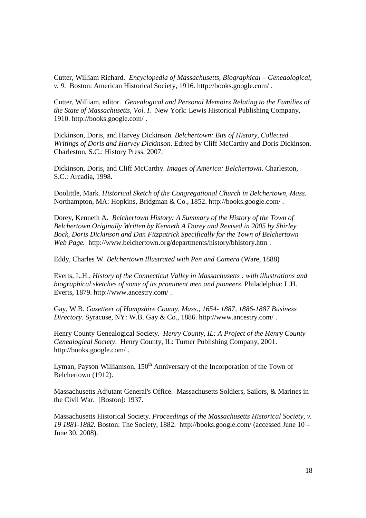Cutter, William Richard. *Encyclopedia of Massachusetts, Biographical – Geneaological, v. 9*. Boston: American Historical Society, 1916. http://books.google.com/ .

Cutter, William, editor. *Genealogical and Personal Memoirs Relating to the Families of the State of Massachusetts, Vol. I.* New York: Lewis Historical Publishing Company, 1910. http://books.google.com/ .

Dickinson, Doris, and Harvey Dickinson. *Belchertown: Bits of History, Collected Writings of Doris and Harvey Dickinson*. Edited by Cliff McCarthy and Doris Dickinson. Charleston, S.C.: History Press, 2007.

Dickinson, Doris, and Cliff McCarthy. *Images of America: Belchertown*. Charleston, S.C.: Arcadia, 1998.

Doolittle, Mark. *Historical Sketch of the Congregational Church in Belchertown, Mass*. Northampton, MA: Hopkins, Bridgman & Co., 1852. http://books.google.com/ .

Dorey, Kenneth A. *Belchertown History: A Summary of the History of the Town of Belchertown Originally Written by Kenneth A Dorey and Revised in 2005 by Shirley Bock, Doris Dickinson and Dan Fitzpatrick Specifically for the Town of Belchertown Web Page.* http://www.belchertown.org/departments/history/bhistory.htm .

Eddy, Charles W. *Belchertown Illustrated with Pen and Camera* (Ware, 1888)

Everts, L.H.. *History of the Connecticut Valley in Massachusetts : with illustrations and biographical sketches of some of its prominent men and pioneers*. Philadelphia: L.H. Everts, 1879. http://www.ancestry.com/ .

Gay, W.B. *Gazetteer of Hampshire County, Mass., 1654- 1887, 1886-1887 Business Directory*. Syracuse, NY: W.B. Gay & Co., 1886. http://www.ancestry.com/ .

Henry County Genealogical Society. *Henry County, IL: A Project of the Henry County Genealogical Society*. Henry County, IL: Turner Publishing Company, 2001. http://books.google.com/ .

Lyman, Payson Williamson.  $150<sup>th</sup>$  Anniversary of the Incorporation of the Town of Belchertown (1912).

Massachusetts Adjutant General's Office. Massachusetts Soldiers, Sailors, & Marines in the Civil War. [Boston]: 1937.

Massachusetts Historical Society. *Proceedings of the Massachusetts Historical Society, v. 19 1881-1882.* Boston: The Society, 1882. http://books.google.com/ (accessed June 10 – June 30, 2008).